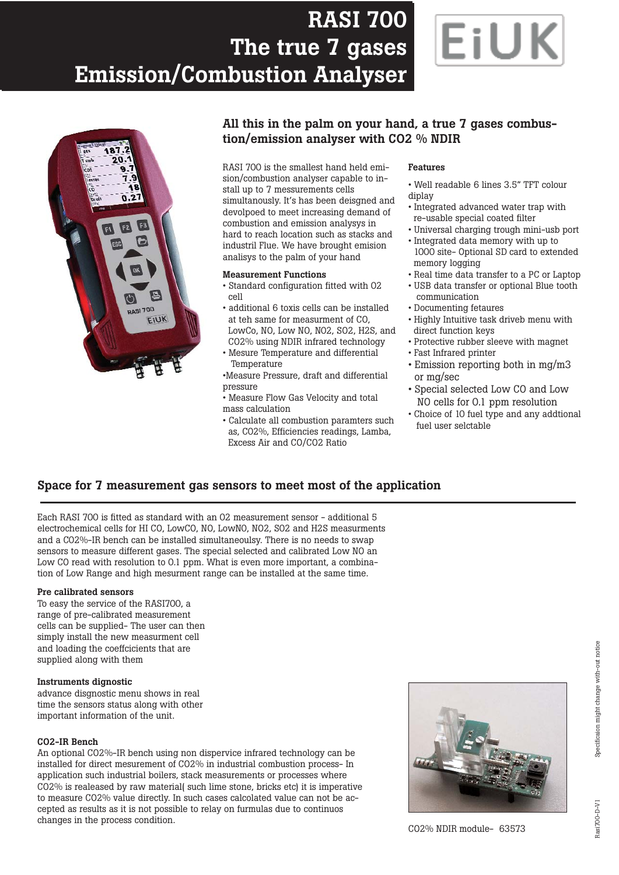# **RASI 700 RASI 700 The true 7 gases The true 7 gases Emission/Combustion Analyser Emission/Combustion Analyser**





### **All this in the palm on your hand, a true 7 gases combustion/emission analyser with CO2 % NDIR**

RASI 700 is the smallest hand held emision/combustion analyser capable to install up to 7 messurements cells simultanously. It's has been deisgned and devolpoed to meet increasing demand of combustion and emission analysys in hard to reach location such as stacks and industril Flue. We have brought emision analisys to the palm of your hand

#### **Measurement Functions**

- Standard configuration fitted with 02 cell
- additional 6 toxis cells can be installed at teh same for measurment of CO, LowCo, NO, Low NO, N02, SO2, H2S, and CO2% using NDIR infrared technology
- Mesure Temperature and differential **Temperature**

•Measure Pressure, draft and differential pressure

- Measure Flow Gas Velocity and total mass calculation
- Calculate all combustion paramters such as, C02%, Efficiencies readings, Lamba, Excess Air and CO/CO2 Ratio

#### **Features**

- Well readable 6 lines 3.5" TFT colour diplay
- Integrated advanced water trap with re-usable special coated filter
- Universal charging trough mini-usb port • Integrated data memory with up to
- 1000 site- Optional SD card to extended memory logging
- Real time data transfer to a PC or Laptop
- USB data transfer or optional Blue tooth communication
- Documenting fetaures
- Highly Intuitive task driveb menu with direct function keys
- Protective rubber sleeve with magnet
- Fast Infrared printer
- Emission reporting both in mg/m3 or mg/sec
- Special selected Low CO and Low NO cells for 0.1 ppm resolution
- Choice of 10 fuel type and any addtional fuel user selctable

### **Space for 7 measurement gas sensors to meet most of the application**

Each RASI 700 is fitted as standard with an 02 measurement sensor - additional 5 electrochemical cells for HI CO, LowCO, NO, LowN0, NO2, S02 and H2S measurments and a C02%-IR bench can be installed simultaneoulsy. There is no needs to swap sensors to measure different gases. The special selected and calibrated Low NO an Low CO read with resolution to 0.1 ppm. What is even more important, a combination of Low Range and high mesurment range can be installed at the same time.

#### **Pre calibrated sensors**

To easy the service of the RASI700, a range of pre-calibrated measurement cells can be supplied- The user can then simply install the new measurment cell and loading the coeffcicients that are supplied along with them

#### **Instruments dignostic**

advance disgnostic menu shows in real time the sensors status along with other important information of the unit.

#### **CO2-IR Bench**

An optional CO2%-IR bench using non dispervice infrared technology can be installed for direct mesurement of CO2% in industrial combustion process- In application such industrial boilers, stack measurements or processes where CO2% is realeased by raw material( such lime stone, bricks etc) it is imperative to measure CO2% value directly. In such cases calcolated value can not be accepted as results as it is not possible to relay on furmulas due to continuos changes in the process condition.

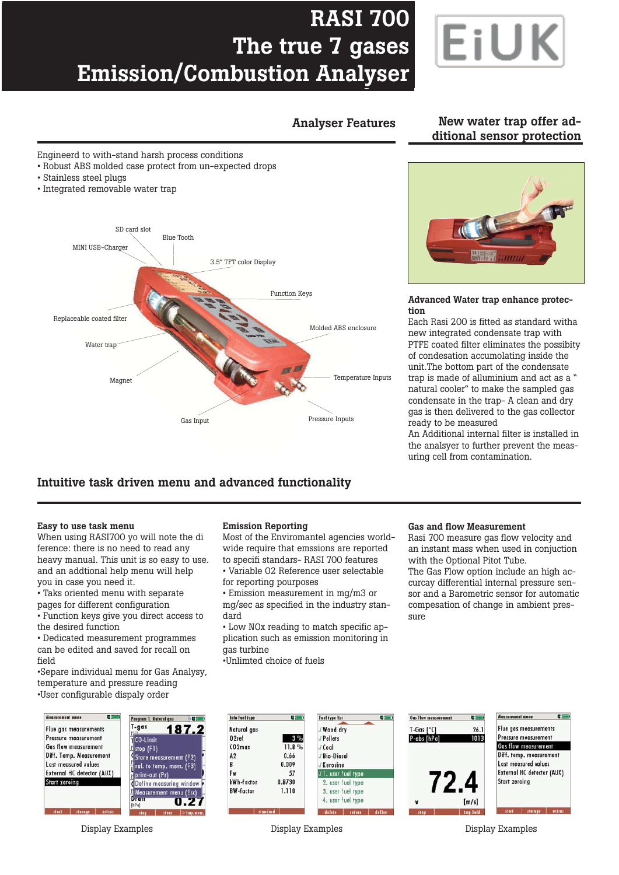# **RASI 700 RASI 700 The true 7 gases The true 7 gases Emission/Combustion Analyser Emission/Combustion Analyser**



### **Analyser Features New water trap offer additional sensor protection**

Engineerd to with-stand harsh process conditions

- Robust ABS molded case protect from un-expected drops
- Stainless steel plugs
- Integrated removable water trap



## **Intuitive task driven menu and advanced functionality**

#### **Easy to use task menu**

When using RASI700 yo will note the di ference: there is no need to read any heavy manual. This unit is so easy to use. and an addtional help menu will help you in case you need it.

• Taks oriented menu with separate pages for different configuration

• Function keys give you direct access to the desired function

• Dedicated measurement programmes can be edited and saved for recall on field

•Separe individual menu for Gas Analysy, temperature and pressure reading •User configurable dispaly order



#### **Emission Reporting**

Most of the Enviromantel agencies worldwide require that emssions are reported to specifi standars- RASI 700 features • Variable 02 Reference user selectable

for reporting pourposes

• Emission measurement in mg/m3 or mg/sec as specified in the industry standard

• Low NOx reading to match specific application such as emission monitoring in gas turbine

•Unlimted choice of fuels

#### **Gas and flow Measurement**

Rasi 700 measure gas flow velocity and an instant mass when used in conjuction with the Optional Pitot Tube.

The Gas Flow option include an high accurcay differential internal pressure sensor and a Barometric sensor for automatic compesation of change in ambient pressure



Display Examples Display Examples Display Examples



#### **Advanced Water trap enhance protection**

Each Rasi 200 is fitted as standard witha new integrated condensate trap with PTFE coated filter eliminates the possibity of condesation accumolating inside the unit.The bottom part of the condensate trap is made of alluminium and act as a " natural cooler" to make the sampled gas condensate in the trap- A clean and dry gas is then delivered to the gas collector ready to be measured

An Additional internal filter is installed in the analsyer to further prevent the measuring cell from contamination.



 $26.1$ 

Flue gas measurements Pressure mensurement **Gas flow measurement** Diff. temp. measurement Last measured values External HC detector (AUX)

**Measurement mean** 

 $\mathbf{B}$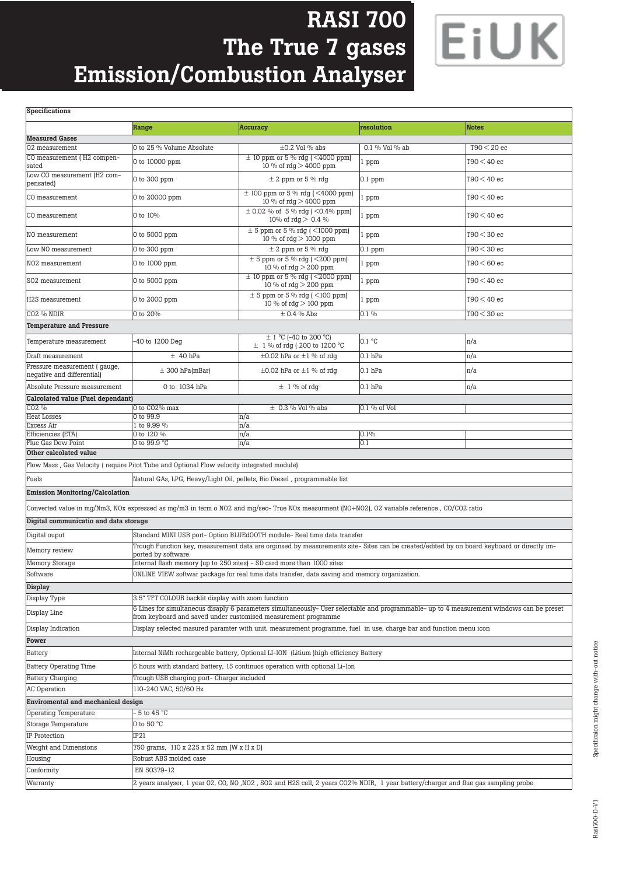# **RASI 700 RASI 700 The true 7 gases The True 7 gases Emission/Combustion Analyser Emission/Combustion Analyser**



| Specifications                                                                                                                           |                                                                                                                                                                                                             |                                                                                                                                                                                                                       |                |               |  |  |
|------------------------------------------------------------------------------------------------------------------------------------------|-------------------------------------------------------------------------------------------------------------------------------------------------------------------------------------------------------------|-----------------------------------------------------------------------------------------------------------------------------------------------------------------------------------------------------------------------|----------------|---------------|--|--|
|                                                                                                                                          |                                                                                                                                                                                                             |                                                                                                                                                                                                                       | resolution     | <b>Notes</b>  |  |  |
|                                                                                                                                          | Range                                                                                                                                                                                                       | <b>Accuracy</b>                                                                                                                                                                                                       |                |               |  |  |
| <b>Measured Gases</b><br>02 measurement                                                                                                  |                                                                                                                                                                                                             |                                                                                                                                                                                                                       | 0.1 % Vol % ab |               |  |  |
| CO measurement (H2 compen-                                                                                                               | O to 25 % Volume Absolute                                                                                                                                                                                   | $\pm 0.2$ Vol % abs<br>$\pm$ 10 ppm or 5 % rdg (<4000 ppm)                                                                                                                                                            |                | $T90 < 20$ ec |  |  |
| sated                                                                                                                                    | 0 to 10000 ppm                                                                                                                                                                                              | 10 % of rdg > 4000 ppm                                                                                                                                                                                                | 1 ppm          | T90 < 40 ec   |  |  |
| Low CO measurement (H2 com-<br>pensated)                                                                                                 | 0 to 300 ppm                                                                                                                                                                                                | $\pm$ 2 ppm or 5 % rdg                                                                                                                                                                                                | $0.1$ ppm      | $T90 < 40$ ec |  |  |
| CO measurement                                                                                                                           | 0 to 20000 ppm                                                                                                                                                                                              | $\pm$ 100 ppm or 5 % rdg (<4000 ppm)<br>10 % of $\text{rdg} > 4000 \text{ ppm}$                                                                                                                                       | 1 ppm          | $T90 < 40$ ec |  |  |
| CO measurement                                                                                                                           | 0 to 10%                                                                                                                                                                                                    | $\pm$ 0.02 % of 5 % rdg (<0.4% ppm)<br>10% of $\text{rdg} > 0.4$ %                                                                                                                                                    | l ppm          | T90 < 40 ec   |  |  |
| NO measurement                                                                                                                           | 0 to 5000 ppm                                                                                                                                                                                               | $\pm$ 5 ppm or 5 % rdg ( < 1000 ppm)<br>10 % of rdg > 1000 ppm                                                                                                                                                        | 1 ppm          | $T90 < 30$ ec |  |  |
| Low NO measurement                                                                                                                       | 0 to 300 ppm                                                                                                                                                                                                | $\pm$ 2 ppm or 5 % rdq                                                                                                                                                                                                | $0.1$ ppm      | $T90 < 30$ ec |  |  |
| NO2 measurement                                                                                                                          | 0 to 1000 ppm                                                                                                                                                                                               | $\pm$ 5 ppm or 5 % rdg (<200 ppm)<br>10 % of rdg > 200 ppm                                                                                                                                                            | 1 ppm          | $T90 < 60$ ec |  |  |
| S02 measurement                                                                                                                          | 0 to 5000 ppm                                                                                                                                                                                               | $\pm$ 10 ppm or 5 % rdg (<2000 ppm)<br>10 % of rdg > 200 ppm                                                                                                                                                          | 1 ppm          | $T90 < 40$ ec |  |  |
| H2S measurement                                                                                                                          | 0 to 2000 ppm                                                                                                                                                                                               | $\pm$ 5 ppm or 5 % rdg (<100 ppm)<br>10 % of $\text{rdg} > 100 \text{ ppm}$                                                                                                                                           | 1 ppm          | $T90 < 40$ ec |  |  |
| CO <sub>2</sub> % NDIR                                                                                                                   | 0 to 20%                                                                                                                                                                                                    | $\pm$ 0.4 % Abs                                                                                                                                                                                                       | 0.1 %          | $T90 < 30$ ec |  |  |
| <b>Temperature and Pressure</b>                                                                                                          |                                                                                                                                                                                                             |                                                                                                                                                                                                                       |                |               |  |  |
|                                                                                                                                          |                                                                                                                                                                                                             |                                                                                                                                                                                                                       |                |               |  |  |
| Temperature measurement                                                                                                                  | -40 to 1200 Deg                                                                                                                                                                                             | $\pm$ 1 °C (-40 to 200 °C)<br>$\pm$ 1 % of rdg (200 to 1200 °C                                                                                                                                                        | 0.1 °C         | n/a           |  |  |
| Draft measurement                                                                                                                        | $±$ 40 hPa                                                                                                                                                                                                  | $\pm 0.02$ hPa or $\pm 1$ % of rdq                                                                                                                                                                                    | $0.1$ hPa      | n/a           |  |  |
| Pressure measurement ( gauge,                                                                                                            |                                                                                                                                                                                                             |                                                                                                                                                                                                                       |                |               |  |  |
| negative and differential)                                                                                                               | $\pm$ 300 hPa(mBar)                                                                                                                                                                                         | $\pm 0.02$ hPa or $\pm 1$ % of rdg                                                                                                                                                                                    | $0.1$ hPa      | n/a           |  |  |
| Absolute Pressure measurement                                                                                                            | 0 to 1034 hPa                                                                                                                                                                                               | $\pm$ 1 % of rdg                                                                                                                                                                                                      | $0.1$ hPa      | n/a           |  |  |
| <b>Calcolated value (Fuel dependant)</b>                                                                                                 |                                                                                                                                                                                                             |                                                                                                                                                                                                                       |                |               |  |  |
| CO <sub>2</sub> %                                                                                                                        | O to CO2% max                                                                                                                                                                                               | $\pm$ 0.3 % Vol % abs                                                                                                                                                                                                 | 0.1 % of Vol   |               |  |  |
| <b>Heat Losses</b><br>Excess Air                                                                                                         | 0 to 99.9<br>1 to 9.99 %                                                                                                                                                                                    | n/a<br>n/a                                                                                                                                                                                                            |                |               |  |  |
| Efficiencies (ETA)                                                                                                                       | 0 to 120 %                                                                                                                                                                                                  | n/a                                                                                                                                                                                                                   | 0.1%           |               |  |  |
| Flue Gas Dew Point                                                                                                                       | 0 to 99.9 °C                                                                                                                                                                                                | n/a                                                                                                                                                                                                                   | 0.1            |               |  |  |
| Other calcolated value                                                                                                                   |                                                                                                                                                                                                             |                                                                                                                                                                                                                       |                |               |  |  |
|                                                                                                                                          | Flow Mass, Gas Velocity (require Pitot Tube and Optional Flow velocity integrated module)                                                                                                                   |                                                                                                                                                                                                                       |                |               |  |  |
| Fuels                                                                                                                                    |                                                                                                                                                                                                             | Natural GAs, LPG, Heavy/Light Oil, pellets, Bio Diesel, programmable list                                                                                                                                             |                |               |  |  |
| <b>Emission Monitoring/Calcolation</b>                                                                                                   |                                                                                                                                                                                                             |                                                                                                                                                                                                                       |                |               |  |  |
|                                                                                                                                          |                                                                                                                                                                                                             | Converted value in mg/Nm3, NOx expressed as mg/m3 in term o NO2 and mg/sec-True NOx measurment (NO+NO2), O2 variable reference, CO/CO2 ratio                                                                          |                |               |  |  |
| Digital communicatio and data storage                                                                                                    |                                                                                                                                                                                                             |                                                                                                                                                                                                                       |                |               |  |  |
|                                                                                                                                          |                                                                                                                                                                                                             |                                                                                                                                                                                                                       |                |               |  |  |
| Digital ouput                                                                                                                            |                                                                                                                                                                                                             | Standard MINI USB port- Option BLUEdOOTH module- Real time data transfer<br>Trough Function key, measurement data are orginsed by measurements site- Sites can be created/edited by on board keyboard or directly im- |                |               |  |  |
| Memory review                                                                                                                            | ported by software.                                                                                                                                                                                         |                                                                                                                                                                                                                       |                |               |  |  |
| Memory Storage                                                                                                                           |                                                                                                                                                                                                             | Internal flash memory (up to 250 sites) - SD card more than 1000 sites                                                                                                                                                |                |               |  |  |
| Software                                                                                                                                 |                                                                                                                                                                                                             | ONLINE VIEW softwar package for real time data transfer, data saving and memory organization.                                                                                                                         |                |               |  |  |
| Display                                                                                                                                  |                                                                                                                                                                                                             |                                                                                                                                                                                                                       |                |               |  |  |
| Display Type                                                                                                                             | 3.5" TFT COLOUR backlit display with zoom function                                                                                                                                                          |                                                                                                                                                                                                                       |                |               |  |  |
| Display Line                                                                                                                             | 6 Lines for simultaneous disaply 6 parameters simultaneously- User selectable and programmable- up to 4 measurement windows can be preset<br>from keyboard and saved under customised measurement programme |                                                                                                                                                                                                                       |                |               |  |  |
| Display selected masured paramter with unit, measurement programme, fuel in use, charge bar and function menu icon<br>Display Indication |                                                                                                                                                                                                             |                                                                                                                                                                                                                       |                |               |  |  |
| Power                                                                                                                                    |                                                                                                                                                                                                             |                                                                                                                                                                                                                       |                |               |  |  |
| Battery                                                                                                                                  | Internal NiMh rechargeable battery, Optional LI-ION (Litium ) high efficiency Battery                                                                                                                       |                                                                                                                                                                                                                       |                |               |  |  |
| <b>Battery Operating Time</b>                                                                                                            | 6 hours with standard battery, 15 continuos operation with optional Li-Ion                                                                                                                                  |                                                                                                                                                                                                                       |                |               |  |  |
| <b>Battery Charging</b>                                                                                                                  | Trough USB charging port- Charger included                                                                                                                                                                  |                                                                                                                                                                                                                       |                |               |  |  |
| 110-240 VAC, 50/60 Hz<br>AC Operation                                                                                                    |                                                                                                                                                                                                             |                                                                                                                                                                                                                       |                |               |  |  |
|                                                                                                                                          |                                                                                                                                                                                                             |                                                                                                                                                                                                                       |                |               |  |  |
| Enviromental and mechanical design                                                                                                       |                                                                                                                                                                                                             |                                                                                                                                                                                                                       |                |               |  |  |
| - 5 to 45 °C<br>Operating Temperature                                                                                                    |                                                                                                                                                                                                             |                                                                                                                                                                                                                       |                |               |  |  |
| Storage Temperature                                                                                                                      | 0 to 50 °C                                                                                                                                                                                                  |                                                                                                                                                                                                                       |                |               |  |  |
| IP Protection                                                                                                                            | IP21                                                                                                                                                                                                        |                                                                                                                                                                                                                       |                |               |  |  |
| Weight and Dimensions                                                                                                                    | 750 grams, 110 x 225 x 52 mm (W x H x D)                                                                                                                                                                    |                                                                                                                                                                                                                       |                |               |  |  |
| Housing                                                                                                                                  | Robust ABS molded case                                                                                                                                                                                      |                                                                                                                                                                                                                       |                |               |  |  |
| Conformity                                                                                                                               | EN 50379-12                                                                                                                                                                                                 |                                                                                                                                                                                                                       |                |               |  |  |
| Warranty                                                                                                                                 | 2 years analyser, 1 year 02, CO, NO , NO2 , SO2 and H2S cell, 2 years CO2% NDIR, 1 year battery/charger and flue gas sampling probe                                                                         |                                                                                                                                                                                                                       |                |               |  |  |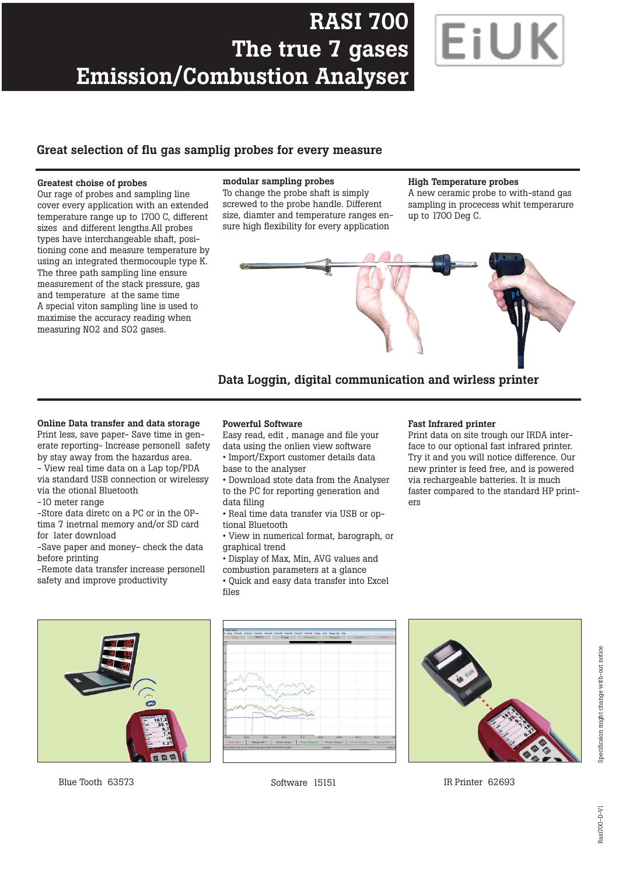# **RASI 700 The true 7 gases Emission/Combustion Analyser**



### **Great selection of flu gas samplig probes for every measure**

#### **Greatest choise of probes**

Our rage of probes and sampling line cover every application with an extended temperature range up to 1700 C, different sizes and different lengths.All probes types have interchangeable shaft, positioning cone and measure temperature by using an integrated thermocouple type K. The three path sampling line ensure measurement of the stack pressure, gas and temperature at the same time A special viton sampling line is used to maximise the accuracy reading when measuring NO2 and SO2 gases.

#### **modular sampling probes**

To change the probe shaft is simply screwed to the probe handle. Different size, diamter and temperature ranges ensure high flexibility for every application

#### **High Temperature probes**

A new ceramic probe to with-stand gas sampling in procecess whit temperarure up to 1700 Deg C.





#### **Online Data transfer and data storage**

Print less, save paper- Save time in generate reporting- Increase personell safety by stay away from the hazardus area.

- View real time data on a Lap top/PDA via standard USB connection or wirelessy via the otional Bluetooth

-10 meter range

-Store data diretc on a PC or in the OPtima 7 inetrnal memory and/or SD card for later download

-Save paper and money- check the data before printing

-Remote data transfer increase personell safety and improve productivity

#### **Powerful Software**

Easy read, edit , manage and file your data using the onlien view software • Import/Export customer details data base to the analyser

• Download stote data from the Analyser to the PC for reporting generation and data filing

• Real time data transfer via USB or optional Bluetooth

• View in numerical format, barograph, or graphical trend

• Display of Max, Min, AVG values and combustion parameters at a glance

• Quick and easy data transfer into Excel files

#### **Fast Infrared printer**

Print data on site trough our IRDA interface to our optional fast infrared printer. Try it and you will notice difference. Our new printer is feed free, and is powered via rechargeable batteries. It is much faster compared to the standard HP printers



Blue Tooth 63573 Software 15151 IR Printer 62693